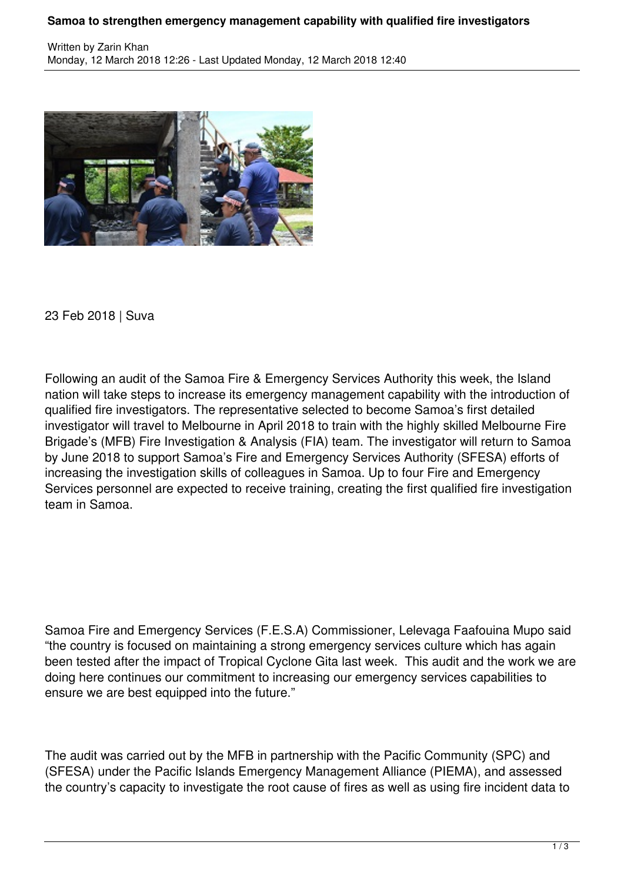## **Samoa to strengthen emergency management capability with qualified fire investigators**



23 Feb 2018 | Suva

Following an audit of the Samoa Fire & Emergency Services Authority this week, the Island nation will take steps to increase its emergency management capability with the introduction of qualified fire investigators. The representative selected to become Samoa's first detailed investigator will travel to Melbourne in April 2018 to train with the highly skilled Melbourne Fire Brigade's (MFB) Fire Investigation & Analysis (FIA) team. The investigator will return to Samoa by June 2018 to support Samoa's Fire and Emergency Services Authority (SFESA) efforts of increasing the investigation skills of colleagues in Samoa. Up to four Fire and Emergency Services personnel are expected to receive training, creating the first qualified fire investigation team in Samoa.

Samoa Fire and Emergency Services (F.E.S.A) Commissioner, Lelevaga Faafouina Mupo said "the country is focused on maintaining a strong emergency services culture which has again been tested after the impact of Tropical Cyclone Gita last week. This audit and the work we are doing here continues our commitment to increasing our emergency services capabilities to ensure we are best equipped into the future."

The audit was carried out by the MFB in partnership with the Pacific Community (SPC) and (SFESA) under the Pacific Islands Emergency Management Alliance (PIEMA), and assessed the country's capacity to investigate the root cause of fires as well as using fire incident data to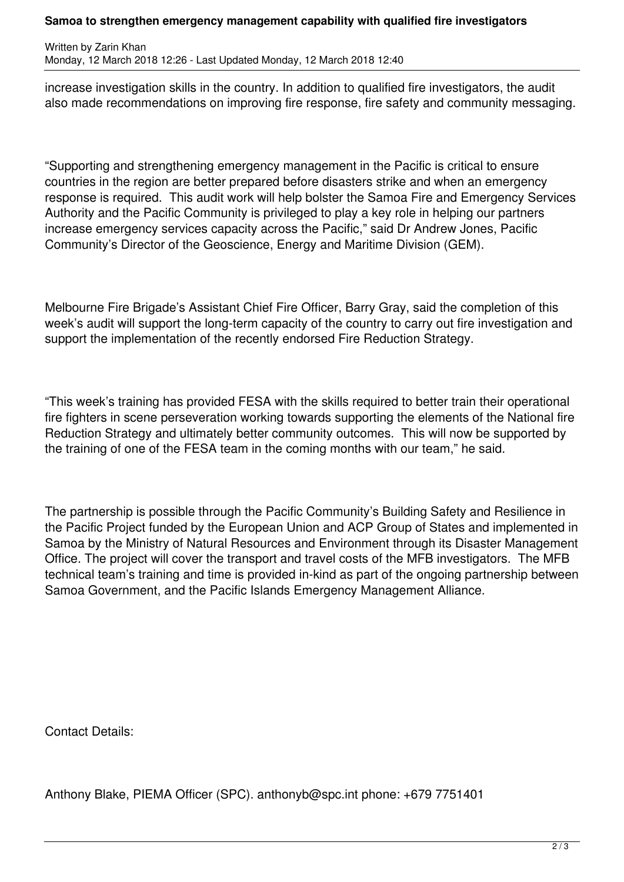## **Samoa to strengthen emergency management capability with qualified fire investigators**

Written by Zarin Khan Monday, 12 March 2018 12:26 - Last Updated Monday, 12 March 2018 12:40

increase investigation skills in the country. In addition to qualified fire investigators, the audit also made recommendations on improving fire response, fire safety and community messaging.

"Supporting and strengthening emergency management in the Pacific is critical to ensure countries in the region are better prepared before disasters strike and when an emergency response is required. This audit work will help bolster the Samoa Fire and Emergency Services Authority and the Pacific Community is privileged to play a key role in helping our partners increase emergency services capacity across the Pacific," said Dr Andrew Jones, Pacific Community's Director of the Geoscience, Energy and Maritime Division (GEM).

Melbourne Fire Brigade's Assistant Chief Fire Officer, Barry Gray, said the completion of this week's audit will support the long-term capacity of the country to carry out fire investigation and support the implementation of the recently endorsed Fire Reduction Strategy.

"This week's training has provided FESA with the skills required to better train their operational fire fighters in scene perseveration working towards supporting the elements of the National fire Reduction Strategy and ultimately better community outcomes. This will now be supported by the training of one of the FESA team in the coming months with our team," he said.

The partnership is possible through the Pacific Community's Building Safety and Resilience in the Pacific Project funded by the European Union and ACP Group of States and implemented in Samoa by the Ministry of Natural Resources and Environment through its Disaster Management Office. The project will cover the transport and travel costs of the MFB investigators. The MFB technical team's training and time is provided in-kind as part of the ongoing partnership between Samoa Government, and the Pacific Islands Emergency Management Alliance.

Contact Details:

Anthony Blake, PIEMA Officer (SPC). anthonyb@spc.int phone: +679 7751401